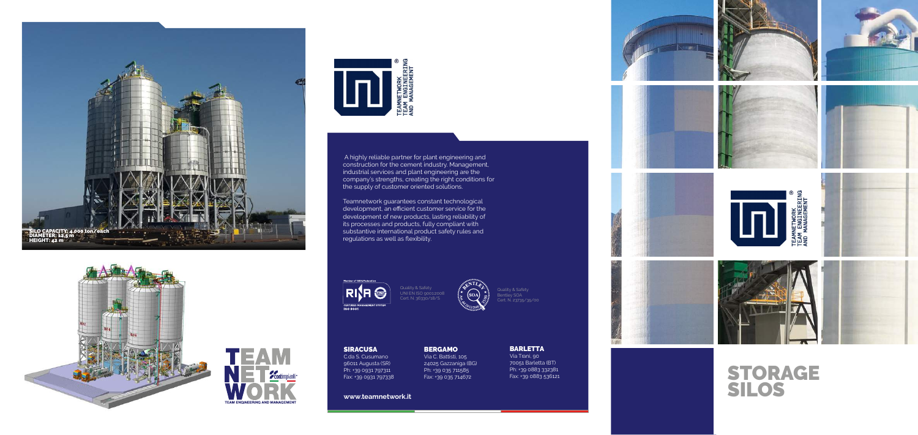**www.teamnetwork.it**

Via C. Battisti, 105 Ph: +39 035 711585

## BERGAMO

24025 Gazzaniga (BG) Fax: +39 035 714672



SIRACUSA

C.da S. Cusumano 96011 Augusta (SR) Ph: +39 0931 797311 Fax: +39 0931 797338 BARLETTA Via Trani, 90 70051 Barletta (BT) Ph: +39 0883 332381 Fax: +39 0883 536121



Teamnetwork guarantees constant technological development, an efficient customer service for the development of new products, lasting reliability of its processes and products, fully compliant with<br>substantive international product safety rules and

**RISH @** CERTIFIED

 A highly reliable partner for plant engineering and construction for the cement industry. Management, industrial services and plant engineering are the company's strengths, creating the right conditions for the supply of customer oriented solutions.







## STORAGE SILOS

Quality & Safety UNI EN ISO 9001:2008 Cert. N. 36330/18/S

Quality & Safety Bentley SOA Cert. N. 23735/35/00